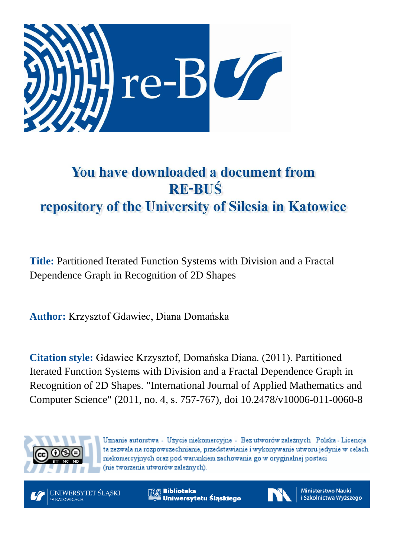

# You have downloaded a document from **RE-BUŚ** repository of the University of Silesia in Katowice

**Title:** Partitioned Iterated Function Systems with Division and a Fractal Dependence Graph in Recognition of 2D Shapes

**Author:** Krzysztof Gdawiec, Diana Domańska

**Citation style:** Gdawiec Krzysztof, Domańska Diana. (2011). Partitioned Iterated Function Systems with Division and a Fractal Dependence Graph in Recognition of 2D Shapes. "International Journal of Applied Mathematics and Computer Science" (2011, no. 4, s. 757-767), doi 10.2478/v10006-011-0060-8



Uznanie autorstwa - Użycie niekomercyjne - Bez utworów zależnych Polska - Licencja ta zezwala na rozpowszechnianie, przedstawianie i wykonywanie utworu jedynie w celach niekomercyjnych oraz pod warunkiem zachowania go w oryginalnej postaci (nie tworzenia utworów zależnych).



**Biblioteka** Uniwersytetu Śląskiego



**Ministerstwo Nauki** i Szkolnictwa Wyższego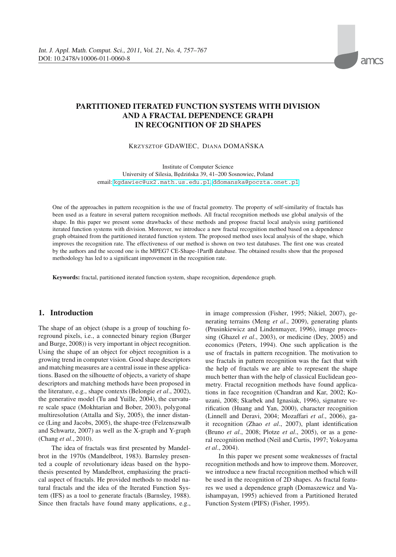## **PARTITIONED ITERATED FUNCTION SYSTEMS WITH DIVISION AND A FRACTAL DEPENDENCE GRAPH IN RECOGNITION OF 2D SHAPES**

KRZYSZTOF GDAWIEC, DIANA DOMAŃSKA

Institute of Computer Science University of Silesia, B˛edzinska 39, 41–200 Sosnowiec, Poland ´ email: <kgdawiec@ux2.math.us.edu.pl>, <ddomanska@poczta.onet.pl>

One of the approaches in pattern recognition is the use of fractal geometry. The property of self-similarity of fractals has been used as a feature in several pattern recognition methods. All fractal recognition methods use global analysis of the shape. In this paper we present some drawbacks of these methods and propose fractal local analysis using partitioned iterated function systems with division. Moreover, we introduce a new fractal recognition method based on a dependence graph obtained from the partitioned iterated function system. The proposed method uses local analysis of the shape, which improves the recognition rate. The effectiveness of our method is shown on two test databases. The first one was created by the authors and the second one is the MPEG7 CE-Shape-1PartB database. The obtained results show that the proposed methodology has led to a significant improvement in the recognition rate.

**Keywords:** fractal, partitioned iterated function system, shape recognition, dependence graph.

## **1. Introduction**

The shape of an object (shape is a group of touching foreground pixels, i.e., a connected binary region (Burger and Burge, 2008)) is very important in object recognition. Using the shape of an object for object recognition is a growing trend in computer vision. Good shape descriptors and matching measures are a central issue in these applications. Based on the silhouette of objects, a variety of shape descriptors and matching methods have been proposed in the literature, e.g., shape contexts (Belongie *et al*., 2002), the generative model (Tu and Yuille, 2004), the curvature scale space (Mokhtarian and Bober, 2003), polygonal multiresolution (Attalla and Siy, 2005), the inner distance (Ling and Jacobs, 2005), the shape-tree (Felzenszwalb and Schwartz, 2007) as well as the X-graph and Y-graph (Chang *et al*., 2010).

The idea of fractals was first presented by Mandelbrot in the 1970s (Mandelbrot, 1983). Barnsley presented a couple of revolutionary ideas based on the hypothesis presented by Mandelbrot, emphasizing the practical aspect of fractals. He provided methods to model natural fractals and the idea of the Iterated Function System (IFS) as a tool to generate fractals (Barnsley, 1988). Since then fractals have found many applications, e.g., in image compression (Fisher, 1995; Nikiel, 2007), generating terrains (Meng *et al*., 2009), generating plants (Prusinkiewicz and Lindenmayer, 1996), image processing (Ghazel *et al*., 2003), or medicine (Dey, 2005) and economics (Peters, 1994). One such application is the use of fractals in pattern recognition. The motivation to use fractals in pattern recognition was the fact that with the help of fractals we are able to represent the shape much better than with the help of classical Euclidean geometry. Fractal recognition methods have found applications in face recognition (Chandran and Kar, 2002; Kouzani, 2008; Skarbek and Ignasiak, 1996), signature verification (Huang and Yan, 2000), character recognition (Linnell and Deravi, 2004; Mozaffari *et al*., 2006), gait recognition (Zhao *et al*., 2007), plant identification (Bruno *et al*., 2008; Plotze *et al*., 2005), or as a general recognition method (Neil and Curtis, 1997; Yokoyama *et al*., 2004).

In this paper we present some weaknesses of fractal recognition methods and how to improve them. Moreover, we introduce a new fractal recognition method which will be used in the recognition of 2D shapes. As fractal features we used a dependence graph (Domaszewicz and Vaishampayan, 1995) achieved from a Partitioned Iterated Function System (PIFS) (Fisher, 1995).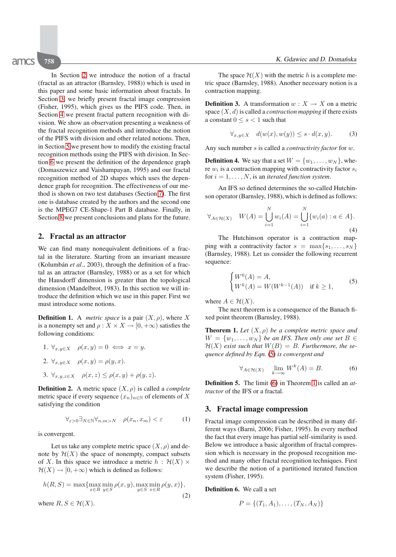In Section [2](#page-2-0) we introduce the notion of a fractal (fractal as an attractor (Barnsley, 1988)) which is used in this paper and some basic information about fractals. In Section [3,](#page-2-1) we briefly present fractal image compression (Fisher, 1995), which gives us the PIFS code. Then, in Section [4](#page-3-0) we present fractal pattern recognition with division. We show an observation presenting a weakness of the fractal recognition methods and introduce the notion of the PIFS with division and other related notions. Then, in Section [5](#page-5-0) we present how to modify the existing fractal recognition methods using the PIFS with division. In Section [6](#page-5-1) we present the definition of the dependence graph (Domaszewicz and Vaishampayan, 1995) and our fractal recognition method of 2D shapes which uses the dependence graph for recognition. The effectiveness of our method is shown on two test databases (Section [7\)](#page-7-0). The first one is database created by the authors and the second one is the MPEG7 CE-Shape-1 Part B database. Finally, in Section [8](#page-9-0) we present conclusions and plans for the future.

## <span id="page-2-0"></span>**2. Fractal as an attractor**

We can find many nonequivalent definitions of a fractal in the literature. Starting from an invariant measure (Kolumbán *et al*., 2003), through the definition of a fractal as an attractor (Barnsley, 1988) or as a set for which the Hausdorff dimension is greater than the topological dimension (Mandelbrot, 1983). In this section we will introduce the definition which we use in this paper. First we must introduce some notions.

**Definition 1.** A *metric space* is a pair  $(X, \rho)$ , where X is a nonempty set and  $\rho: X \times X \to [0, +\infty)$  satisfies the following conditions:

1. 
$$
\forall_{x,y \in X}
$$
  $\rho(x,y) = 0 \iff x = y.$   
\n2.  $\forall_{x,y \in X}$   $\rho(x,y) = \rho(y,x).$   
\n3.  $\forall_{x,y,z \in X}$   $\rho(x,z) \leq \rho(x,y) + \rho(y,z).$ 

**Definition 2.** A metric space  $(X, \rho)$  is called a *complete* metric space if every sequence  $(x_n)_{n\in\mathbb{N}}$  of elements of X satisfying the condition

$$
\forall_{\varepsilon>0} \exists_{N \in \mathbb{N}} \forall_{n,m>N} \quad \rho(x_n, x_m) < \varepsilon \tag{1}
$$

is convergent.

Let us take any complete metric space  $(X, \rho)$  and denote by  $\mathcal{H}(X)$  the space of nonempty, compact subsets of X. In this space we introduce a metric  $h : \mathcal{H}(X) \times$  $\mathcal{H}(X) \to [0, +\infty)$  which is defined as follows:

$$
h(R, S) = \max\{\max_{x \in R} \min_{y \in S} \rho(x, y), \max_{y \in S} \min_{x \in R} \rho(y, x)\},\
$$
  
where  $R, S \in \mathcal{H}(X)$ . (2)

The space  $\mathcal{H}(X)$  with the metric h is a complete metric space (Barnsley, 1988). Another necessary notion is a contraction mapping.

**Definition 3.** A transformation  $w: X \to X$  on a metric space (X, d) is called a *contraction mapping* if there exists a constant  $0 \leq s < 1$  such that

$$
\forall_{x,y \in X} \quad d(w(x), w(y)) \le s \cdot d(x,y). \tag{3}
$$

Any such number s is called a *contractivity factor* for w.

**Definition 4.** We say that a set  $W = \{w_1, \ldots, w_N\}$ , where  $w_i$  is a contraction mapping with contractivity factor  $s_i$ for  $i = 1, \ldots, N$ , is an *iterated function system*.

An IFS so defined determines the so-called Hutchinson operator (Barnsley, 1988), which is defined as follows:

$$
\forall_{A \in \mathcal{H}(X)} \quad W(A) = \bigcup_{i=1}^{N} w_i(A) = \bigcup_{i=1}^{N} \{w_i(a) : a \in A\}.
$$
\n(4)

The Hutchinson operator is a contraction mapping with a contractivity factor  $s = \max\{s_1, \ldots, s_N\}$ (Barnsley, 1988). Let us consider the following recurrent sequence:

<span id="page-2-2"></span>
$$
\begin{cases} W^0(A) = A, \\ W^k(A) = W(W^{k-1}(A)) & \text{if } k \ge 1, \end{cases}
$$
 (5)

where  $A \in \mathcal{H}(X)$ .

<span id="page-2-4"></span>The next theorem is a consequence of the Banach fixed point theorem (Barnsley, 1988).

**Theorem 1.** *Let*  $(X, \rho)$  *be a complete metric space and*  $W = \{w_1, \ldots, w_N\}$  be an IFS. Then only one set  $B \in$  $H(X)$  exist such that  $W(B) = B$ . Furthermore, the se*quence defined by Eqn.* [\(5\)](#page-2-2) *is convergent and*

<span id="page-2-3"></span>
$$
\forall_{A \in \mathcal{H}(X)} \quad \lim_{k \to \infty} W^k(A) = B. \tag{6}
$$

**Definition 5.** The limit [\(6\)](#page-2-3) in Theorem [1](#page-2-4) is called an *attractor* of the IFS or a fractal.

## <span id="page-2-1"></span>**3. Fractal image compression**

Fractal image compression can be described in many different ways (Barni, 2006; Fisher, 1995). In every method the fact that every image has partial self-similarity is used. Below we introduce a basic algorithm of fractal compression which is necessary in the proposed recognition method and many other fractal recognition techniques. First we describe the notion of a partitioned iterated function system (Fisher, 1995).

**Definition 6.** We call a set

$$
P = \{(T_1, A_1), \dots, (T_N, A_N)\}
$$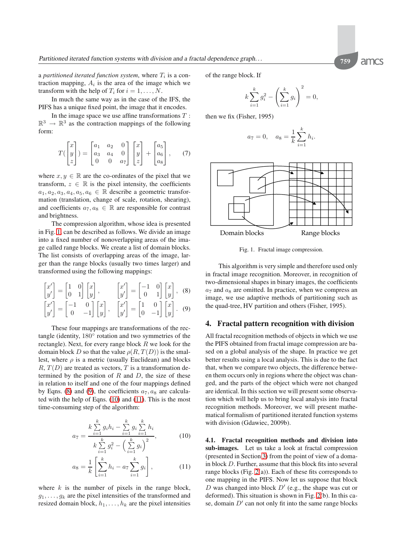a *partitioned iterated function system*, where  $T_i$  is a contraction mapping,  $A_i$  is the area of the image which we transform with the help of  $T_i$  for  $i = 1, \ldots, N$ .

In much the same way as in the case of the IFS, the PIFS has a unique fixed point, the image that it encodes.

In the image space we use affine transformations  $T$ :  $\mathbb{R}^3 \to \mathbb{R}^3$  as the contraction mappings of the following form:

$$
T\begin{pmatrix} x \\ y \\ z \end{pmatrix} = \begin{bmatrix} a_1 & a_2 & 0 \\ a_3 & a_4 & 0 \\ 0 & 0 & a_7 \end{bmatrix} \begin{bmatrix} x \\ y \\ z \end{bmatrix} + \begin{bmatrix} a_5 \\ a_6 \\ a_8 \end{bmatrix}, \quad (7)
$$

where  $x, y \in \mathbb{R}$  are the co-ordinates of the pixel that we transform,  $z \in \mathbb{R}$  is the pixel intensity, the coefficients  $a_1, a_2, a_3, a_4, a_5, a_6 \in \mathbb{R}$  describe a geometric transformation (translation, change of scale, rotation, shearing), and coefficients  $a_7, a_8 \in \mathbb{R}$  are responsible for contrast and brightness.

The compression algorithm, whose idea is presented in Fig. [1,](#page-3-1) can be described as follows. We divide an image into a fixed number of nonoverlapping areas of the image called range blocks. We create a list of domain blocks. The list consists of overlapping areas of the image, larger than the range blocks (usually two times larger) and transformed using the following mappings:

$$
\begin{bmatrix} x' \\ y' \end{bmatrix} = \begin{bmatrix} 1 & 0 \\ 0 & 1 \end{bmatrix} \begin{bmatrix} x \\ y \end{bmatrix}, \qquad \begin{bmatrix} x' \\ y' \end{bmatrix} = \begin{bmatrix} -1 & 0 \\ 0 & 1 \end{bmatrix} \begin{bmatrix} x \\ y \end{bmatrix}, \quad (8)
$$

$$
\begin{bmatrix} x' \\ y' \end{bmatrix} = \begin{bmatrix} -1 & 0 \\ 0 & -1 \end{bmatrix} \begin{bmatrix} x \\ y \end{bmatrix}, \quad \begin{bmatrix} x' \\ y' \end{bmatrix} = \begin{bmatrix} 1 & 0 \\ 0 & -1 \end{bmatrix} \begin{bmatrix} x \\ y \end{bmatrix}. \quad (9)
$$

These four mappings are transformations of the rectangle (identity, 180◦ rotation and two symmetries of the rectangle). Next, for every range block  $R$  we look for the domain block D so that the value  $\rho(R, T(D))$  is the smallest, where  $\rho$  is a metric (usually Euclidean) and blocks  $R, T(D)$  are treated as vectors, T is a transformation determined by the position of  $R$  and  $D$ , the size of these in relation to itself and one of the four mappings defined by Eqns. [\(8\)](#page-3-2) and [\(9\)](#page-3-3), the coefficients  $a_7, a_8$  are calculated with the help of Eqns. [\(10\)](#page-3-4) and [\(11\)](#page-3-5). This is the most time-consuming step of the algorithm:

$$
a_7 = \frac{k \sum_{i=1}^{k} g_i h_i - \sum_{i=1}^{k} g_i \sum_{i=1}^{k} h_i}{k \sum_{i=1}^{k} g_i^2 - \left(\sum_{i=1}^{k} g_i\right)^2},
$$
(10)

$$
a_8 = \frac{1}{k} \left[ \sum_{i=1}^{k} h_i - a_7 \sum_{i=1}^{k} g_i \right],
$$
 (11)

where  $k$  is the number of pixels in the range block,  $g_1, \ldots, g_k$  are the pixel intensities of the transformed and resized domain block,  $h_1, \ldots, h_k$  are the pixel intensities

of the range block. If

$$
k\sum_{i=1}^{k} g_i^2 - \left(\sum_{i=1}^{k} g_i\right)^2 = 0,
$$

then we fix (Fisher, 1995)

$$
a_7 = 0
$$
,  $a_8 = \frac{1}{k} \sum_{i=1}^{k} h_i$ .



<span id="page-3-1"></span>Fig. 1. Fractal image compression.

<span id="page-3-2"></span>This algorithm is very simple and therefore used only in fractal image recognition. Moreover, in recognition of two-dimensional shapes in binary images, the coefficients  $a_7$  and  $a_8$  are omitted. In practice, when we compress an image, we use adaptive methods of partitioning such as the quad-tree, HV partition and others (Fisher, 1995).

#### <span id="page-3-3"></span><span id="page-3-0"></span>**4. Fractal pattern recognition with division**

All fractal recognition methods of objects in which we use the PIFS obtained from fractal image compression are based on a global analysis of the shape. In practice we get better results using a local analysis. This is due to the fact that, when we compare two objects, the difference between them occurs only in regions where the object was changed, and the parts of the object which were not changed are identical. In this section we will present some observation which will help us to bring local analysis into fractal recognition methods. Moreover, we will present mathematical formalism of partitioned iterated function systems with division (Gdawiec, 2009b).

<span id="page-3-5"></span><span id="page-3-4"></span>**4.1. Fractal recognition methods and division into sub-images.** Let us take a look at fractal compression (presented in Section [3\)](#page-2-1) from the point of view of a domain block D. Further, assume that this block fits into several range blocks (Fig. [2\(](#page-4-0)a)). Each of these fits corresponds to one mapping in the PIFS. Now let us suppose that block D was changed into block  $D'$  (e.g., the shape was cut or deformed). This situation is shown in Fig. [2\(](#page-4-0)b). In this case, domain  $D'$  can not only fit into the same range blocks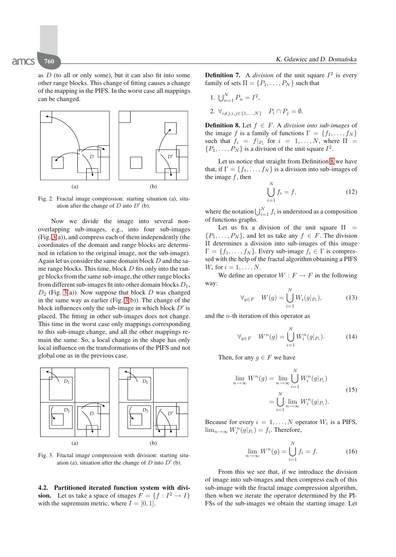as  $D$  (to all or only some), but it can also fit into some other range blocks. This change of fitting causes a change of the mapping in the PIFS. In the worst case all mappings can be changed.



<span id="page-4-0"></span>Fig. 2. Fractal image compression: starting situation (a), situation after the change of  $D$  into  $D'$  (b).

Now we divide the image into several nonoverlapping sub-images, e.g., into four sub-images (Fig. [3\(](#page-4-1)a)), and compress each of them independently (the coordinates of the domain and range blocks are determined in relation to the original image, not the sub-image). Again let us consider the same domain block  $D$  and the same range blocks. This time, block  $D$  fits only into the range blocks from the same sub-image, the other range blocks from different sub-images fit into other domain blocks  $D_1$ ,  $D_2$  (Fig. [3\(](#page-4-1)a)). Now suppose that block D was changed in the same way as earlier (Fig. [3\(](#page-4-1)b)). The change of the block influences only the sub-image in which block  $D'$  is placed. The fitting in other sub-images does not change. This time in the worst case only mappings corresponding to this sub-image change, and all the other mappings remain the same. So, a local change in the shape has only local influence on the transformations of the PIFS and not global one as in the previous case.



<span id="page-4-1"></span>Fig. 3. Fractal image compression with division: starting situation (a), situation after the change of  $D$  into  $D'$  (b).

<span id="page-4-3"></span>**4.2. Partitioned iterated function system with division.** Let us take a space of images  $F = \{f : I^2 \to I\}$ with the supremum metric, where  $I = [0, 1]$ .

**Definition 7.** A *division* of the unit square  $I^2$  is every family of sets  $\Pi = \{P_1, \ldots, P_N\}$  such that

- 1.  $\bigcup_{n=1}^{N} P_n = I^2$ ,
- <span id="page-4-2"></span>2.  $\forall_{i\neq j, i,j\in\{1,\ldots,N\}}$   $P_i \cap P_j = \emptyset$ .

**Definition 8.** Let  $f \in F$ . A *division into sub-images* of the image f is a family of functions  $\Gamma = \{f_1, \ldots, f_N\}$ such that  $f_i = f|_{P_i}$  for  $i = 1, \ldots, N$ , where  $\Pi =$  $\{P_1,\ldots,P_N\}$  is a division of the unit square  $I^2$ .

Let us notice that straight from Definition [8](#page-4-2) we have that, if  $\Gamma = \{f_1, \ldots, f_N\}$  is a division into sub-images of the image  $f$ , then

$$
\bigcup_{i=1}^{N} f_i = f,\tag{12}
$$

where the notation  $\bigcup_{i=1}^{N} f_i$  is understood as a composition<br>of functions graphs of functions graphs.

Let us fix a division of the unit square  $\Pi$  =  $\{P_1,\ldots,P_N\}$ , and let us take any  $f \in F$ . The division Π determines a division into sub-images of this image  $\Gamma = \{f_1, \ldots, f_N\}$ . Every sub-image  $f_i \in \Gamma$  is compressed with the help of the fractal algorithm obtaining a PIFS  $W_i$  for  $i = 1, \ldots, N$ .

We define an operator  $W : F \to F$  in the following way:

$$
\forall_{g \in F} \quad W(g) = \bigcup_{i=1}^{N} W_i(g|_{P_i}), \tag{13}
$$

and the  $n$ -th iteration of this operator as

$$
\forall_{g \in F} \quad W^n(g) = \bigcup_{i=1}^N W_i^n(g|_{P_i}). \tag{14}
$$

Then, for any  $g \in F$  we have

$$
\lim_{n \to \infty} W^n(g) = \lim_{n \to \infty} \bigcup_{i=1}^N W_i^n(g|_{P_i})
$$
\n
$$
= \bigcup_{i=1}^N \lim_{n \to \infty} W_i^n(g|_{P_i}).
$$
\n(15)

Because for every  $i = 1, ..., N$  operator  $W_i$  is a PIFS,  $\lim_{n\to\infty}W_i^n(g|_{P_i})=f_i.$  Therefore,

$$
\lim_{n \to \infty} W^n(g) = \bigcup_{i=1}^N f_i = f. \tag{16}
$$

From this we see that, if we introduce the division of image into sub-images and then compress each of this sub-image with the fractal image compression algorithm, then when we iterate the operator determined by the PI-FSs of the sub-images we obtain the starting image. Let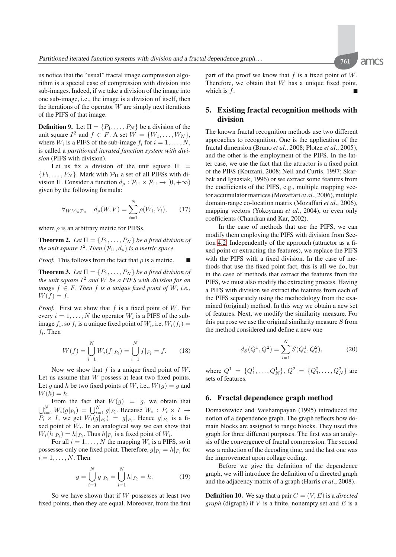amcs

us notice that the "usual" fractal image compression algorithm is a special case of compression with division into sub-images. Indeed, if we take a division of the image into one sub-image, i.e., the image is a division of itself, then the iterations of the operator  $W$  are simply next iterations of the PIFS of that image.

**Definition 9.** Let  $\Pi = \{P_1, \ldots, P_N\}$  be a division of the unit square  $I^2$  and  $f \in F$ . A set  $W = \{W_1, \ldots, W_N\}$ , where  $W_i$  is a PIFS of the sub-image  $f_i$  for  $i = 1, \ldots, N$ , is called a *partitioned iterated function system with division* (PIFS with division).

Let us fix a division of the unit square  $\Pi$  =  $\{P_1,\ldots,P_N\}$ . Mark with  $\mathcal{P}_{\Pi}$  a set of all PIFSs with division Π. Consider a function  $d_{\rho} : \mathcal{P}_{\Pi} \times \mathcal{P}_{\Pi} \to [0, +\infty)$ given by the following formula:

$$
\forall_{W,V \in \mathcal{P}_{\Pi}} \quad d_{\rho}(W,V) = \sum_{i=1}^{N} \rho(W_i, V_i), \qquad (17)
$$

where  $\rho$  is an arbitrary metric for PIFSs.

**Theorem 2.** *Let*  $\Pi = \{P_1, \ldots, P_N\}$  *be a fixed division of the unit square*  $I^2$ . *Then*  $(\mathcal{P}_{\Pi}, d_o)$  *is a metric space.* 

*Proof.* This follows from the fact that  $\rho$  is a metric.  $\blacksquare$ 

**Theorem 3.** Let  $\Pi = \{P_1, \ldots, P_N\}$  be a fixed division of *the unit square*  $I^2$  *and* W *be a PIFS with division for an image*  $f \in F$ *. Then*  $f$  *is a unique fixed point of*  $W$ *, i.e.,*  $W(f) = f.$ 

*Proof.* First we show that  $f$  is a fixed point of  $W$ . For every  $i = 1, \ldots, N$  the operator  $W_i$  is a PIFS of the subimage  $f_i$ , so  $f_i$  is a unique fixed point of  $W_i$ , i.e.  $W_i(f_i)$  =  $f_i$ . Then

$$
W(f) = \bigcup_{i=1}^{N} W_i(f|_{P_i}) = \bigcup_{i=1}^{N} f|_{P_i} = f.
$$
 (18)

Now we show that  $f$  is a unique fixed point of  $W$ . Let us assume that  $W$  possess at least two fixed points. Let g and h be two fixed points of W, i.e.,  $W(q) = q$  and  $W(h) = h$ .

From the fact that  $W(g) = g$ , we obtain that  $\bigcup_{i=1}^{N} W_i(g|_{P_i}) = \bigcup_{i=1}^{N} g|_{P_i}$ . Because  $W_i : P_i \times I \rightarrow P_i \times I$  we get  $W_i(g|_{P_i}) = g|_{P_i}$ . Hence  $g|_{P_i}$  is a fi- $P_i \times I$ , we get  $W_i(g|_{P_i}) = g|_{P_i}$ . Hence  $g|_{P_i}$  is a fixed point of  $W_i$ . In an analogical way we can show that  $W_i(h|_{P_i}) = h|_{P_i}$ . Thus  $h|_{P_i}$  is a fixed point of  $W_i$ .

For all  $i = 1, \ldots, N$  the mapping  $W_i$  is a PIFS, so it possesses only one fixed point. Therefore,  $g|_{P_i} = h|_{P_i}$  for  $i = 1, \ldots, N$ . Then

$$
g = \bigcup_{i=1}^{N} g|_{P_i} = \bigcup_{i=1}^{N} h|_{P_i} = h.
$$
 (19)

So we have shown that if  $W$  possesses at least two fixed points, then they are equal. Moreover, from the first part of the proof we know that  $f$  is a fixed point of  $W$ . Therefore, we obtain that  $W$  has a unique fixed point, which is  $f$ .

## <span id="page-5-0"></span>**5. Existing fractal recognition methods with division**

The known fractal recognition methods use two different approaches to recognition. One is the application of the fractal dimension (Bruno *et al*., 2008; Plotze *et al*., 2005), and the other is the employment of the PIFS. In the latter case, we use the fact that the attractor is a fixed point of the PIFS (Kouzani, 2008; Neil and Curtis, 1997; Skarbek and Ignasiak, 1996) or we extract some features from the coefficients of the PIFS, e.g., multiple mapping vector accumulator matrices (Mozaffari *et al*., 2006), multiple domain-range co-location matrix (Mozaffari *et al*., 2006), mapping vectors (Yokoyama *et al*., 2004), or even only coefficients (Chandran and Kar, 2002).

In the case of methods that use the PIFS, we can modify them employing the PIFS with division from Section [4.2.](#page-4-3) Independently of the approach (attractor as a fixed point or extracting the features), we replace the PIFS with the PIFS with a fixed division. In the case of methods that use the fixed point fact, this is all we do, but in the case of methods that extract the features from the PIFS, we must also modify the extracting process. Having a PIFS with division we extract the features from each of the PIFS separately using the methodology from the examined (original) method. In this way we obtain a new set of features. Next, we modify the similarity measure. For this purpose we use the original similarity measure  $S$  from the method considered and define a new one

$$
d_S(Q^1, Q^2) = \sum_{i=1}^N S(Q_i^1, Q_i^2),\tag{20}
$$

where  $Q^1 = \{Q_1^1, \ldots, Q_N^1\}$ ,  $Q^2 = \{Q_1^2, \ldots, Q_N^2\}$  are sets of features.

## <span id="page-5-1"></span>**6. Fractal dependence graph method**

Domaszewicz and Vaishampayan (1995) introduced the notion of a dependence graph. The graph reflects how domain blocks are assigned to range blocks. They used this graph for three different purposes. The first was an analysis of the convergence of fractal compression. The second was a reduction of the decoding time, and the last one was the improvement upon collage coding.

Before we give the definition of the dependence graph, we will introduce the definition of a directed graph and the adjacency matrix of a graph (Harris *et al*., 2008).

**Definition 10.** We say that a pair  $G = (V, E)$  is a *directed graph* (digraph) if  $V$  is a finite, nonempty set and  $E$  is a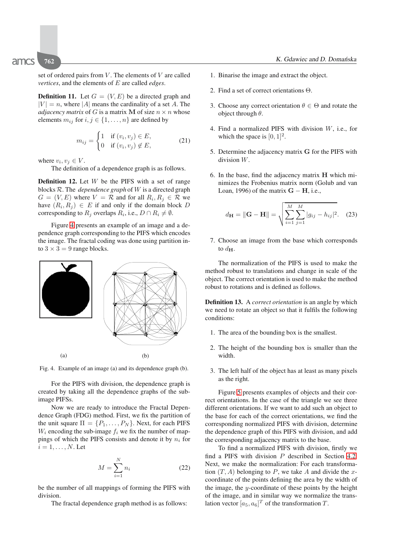set of ordered pairs from  $V$ . The elements of  $V$  are called *vertices*, and the elements of E are called *edges*.

**Definition 11.** Let  $G = (V, E)$  be a directed graph and  $|V| = n$ , where |A| means the cardinality of a set A. The *adjacency matrix* of G is a matrix **M** of size  $n \times n$  whose elements  $m_{ij}$  for  $i, j \in \{1, \ldots, n\}$  are defined by

$$
m_{ij} = \begin{cases} 1 & \text{if } (v_i, v_j) \in E, \\ 0 & \text{if } (v_i, v_j) \notin E, \end{cases}
$$
 (21)

where  $v_i, v_j \in V$ .

The definition of a dependence graph is as follows.

**Definition 12.** Let W be the PIFS with a set of range blocks R. The *dependence graph* of W is a directed graph  $G = (V, E)$  where  $V = \mathcal{R}$  and for all  $R_i, R_j \in \mathcal{R}$  we have  $(R_i, R_j) \in E$  if and only if the domain block D corresponding to  $R_j$  overlaps  $R_i$ , i.e.,  $D \cap R_i \neq \emptyset$ .

Figure [4](#page-6-0) presents an example of an image and a dependence graph corresponding to the PIFS which encodes the image. The fractal coding was done using partition into  $3 \times 3 = 9$  range blocks.



<span id="page-6-0"></span>Fig. 4. Example of an image (a) and its dependence graph (b).

For the PIFS with division, the dependence graph is created by taking all the dependence graphs of the subimage PIFSs.

Now we are ready to introduce the Fractal Dependence Graph (FDG) method. First, we fix the partition of the unit square  $\Pi = \{P_1, \ldots, P_N\}$ . Next, for each PIFS  $W_i$  encoding the sub-image  $f_i$  we fix the number of mappings of which the PIFS consists and denote it by  $n_i$  for  $i = 1, \ldots, N$ . Let

$$
M = \sum_{i=1}^{N} n_i
$$
 (22)

be the number of all mappings of forming the PIFS with division.

The fractal dependence graph method is as follows:

- 1. Binarise the image and extract the object.
- 2. Find a set of correct orientations Θ.
- 3. Choose any correct orientation  $\theta \in \Theta$  and rotate the object through  $\theta$ .
- 4. Find a normalized PIFS with division W, i.e., for which the space is  $[0, 1]^2$ .
- 5. Determine the adjacency matrix **G** for the PIFS with division W.
- 6. In the base, find the adjacency matrix **H** which minimizes the Frobenius matrix norm (Golub and van Loan, 1996) of the matrix  $G - H$ , i.e.,

$$
d_{\mathbf{H}} = \|\mathbf{G} - \mathbf{H}\| = \sqrt{\sum_{i=1}^{M} \sum_{j=1}^{M} |g_{ij} - h_{ij}|^2}.
$$
 (23)

7. Choose an image from the base which corresponds to  $d_{\mathbf{H}}$ .

The normalization of the PIFS is used to make the method robust to translations and change in scale of the object. The correct orientation is used to make the method robust to rotations and is defined as follows.

**Definition 13.** A *correct orientation* is an angle by which we need to rotate an object so that it fulfils the following conditions:

- 1. The area of the bounding box is the smallest.
- 2. The height of the bounding box is smaller than the width.
- 3. The left half of the object has at least as many pixels as the right.

Figure [5](#page-7-1) presents examples of objects and their correct orientations. In the case of the triangle we see three different orientations. If we want to add such an object to the base for each of the correct orientations, we find the corresponding normalized PIFS with division, determine the dependence graph of this PIFS with division, and add the corresponding adjacency matrix to the base.

To find a normalized PIFS with division, firstly we find a PIFS with division  $P$  described in Section [4.2.](#page-4-3) Next, we make the normalization: For each transformation  $(T, A)$  belonging to P, we take A and divide the xcoordinate of the points defining the area by the width of the image, the  $y$ -coordinate of these points by the height of the image, and in similar way we normalize the translation vector  $[a_5, a_6]^T$  of the transformation T.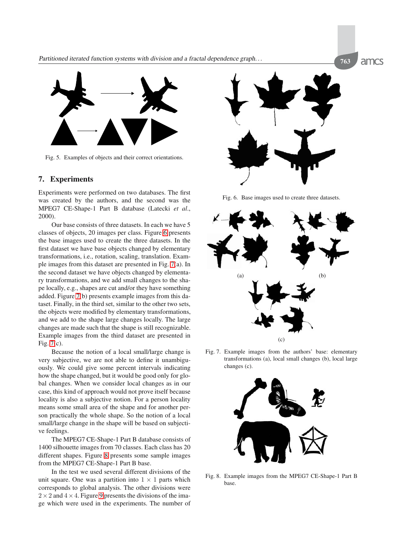

<span id="page-7-1"></span>Fig. 5. Examples of objects and their correct orientations.

## <span id="page-7-0"></span>**7. Experiments**

Experiments were performed on two databases. The first was created by the authors, and the second was the MPEG7 CE-Shape-1 Part B database (Latecki *et al*., 2000).

Our base consists of three datasets. In each we have 5 classes of objects, 20 images per class. Figure [6](#page-7-2) presents the base images used to create the three datasets. In the first dataset we have base objects changed by elementary transformations, i.e., rotation, scaling, translation. Example images from this dataset are presented in Fig. [7\(](#page-7-3)a). In the second dataset we have objects changed by elementary transformations, and we add small changes to the shape locally, e.g., shapes are cut and/or they have something added. Figure [7\(](#page-7-3)b) presents example images from this dataset. Finally, in the third set, similar to the other two sets, the objects were modified by elementary transformations, and we add to the shape large changes locally. The large changes are made such that the shape is still recognizable. Example images from the third dataset are presented in Fig. [7\(](#page-7-3)c).

Because the notion of a local small/large change is very subjective, we are not able to define it unambiguously. We could give some percent intervals indicating how the shape changed, but it would be good only for global changes. When we consider local changes as in our case, this kind of approach would not prove itself because locality is also a subjective notion. For a person locality means some small area of the shape and for another person practically the whole shape. So the notion of a local small/large change in the shape will be based on subjective feelings.

The MPEG7 CE-Shape-1 Part B database consists of 1400 silhouette images from 70 classes. Each class has 20 different shapes. Figure [8](#page-7-4) presents some sample images from the MPEG7 CE-Shape-1 Part B base.

In the test we used several different divisions of the unit square. One was a partition into  $1 \times 1$  parts which corresponds to global analysis. The other divisions were  $2 \times 2$  and  $4 \times 4$ . Figure [9](#page-8-0) presents the divisions of the image which were used in the experiments. The number of



<span id="page-7-2"></span>Fig. 6. Base images used to create three datasets.



<span id="page-7-3"></span>Fig. 7. Example images from the authors' base: elementary transformations (a), local small changes (b), local large changes (c).

<span id="page-7-4"></span>

Fig. 8. Example images from the MPEG7 CE-Shape-1 Part B base.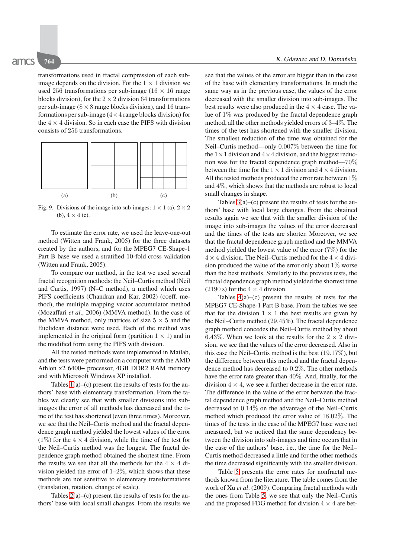transformations used in fractal compression of each subimage depends on the division. For the  $1 \times 1$  division we used 256 transformations per sub-image ( $16 \times 16$  range blocks division), for the  $2 \times 2$  division 64 transformations per sub-image ( $8 \times 8$  range blocks division), and 16 transformations per sub-image  $(4 \times 4$  range blocks division) for the  $4 \times 4$  division. So in each case the PIFS with division consists of 256 transformations.



<span id="page-8-0"></span>Fig. 9. Divisions of the image into sub-images:  $1 \times 1$  (a),  $2 \times 2$ (b),  $4 \times 4$  (c).

To estimate the error rate, we used the leave-one-out method (Witten and Frank, 2005) for the three datasets created by the authors, and for the MPEG7 CE-Shape-1 Part B base we used a stratified 10-fold cross validation (Witten and Frank, 2005).

To compare our method, in the test we used several fractal recognition methods: the Neil–Curtis method (Neil and Curtis, 1997) (N–C method), a method which uses PIFS coefficients (Chandran and Kar, 2002) (coeff. method), the multiple mapping vector accumulator method (Mozaffari *et al*., 2006) (MMVA method). In the case of the MMVA method, only matrices of size  $5 \times 5$  and the Euclidean distance were used. Each of the method was implemented in the original form (partition  $1 \times 1$ ) and in the modified form using the PIFS with division.

All the tested methods were implemented in Matlab, and the tests were performed on a computer with the AMD Athlon x2 6400+ processor, 4GB DDR2 RAM memory and with Microsoft Windows XP installed.

Tables  $1(a)$ –(c) present the results of tests for the authors' base with elementary transformation. From the tables we clearly see that with smaller divisions into subimages the error of all methods has decreased and the time of the test has shortened (even three times). Moreover, we see that the Neil–Curtis method and the fractal dependence graph method yielded the lowest values of the error  $(1\%)$  for the  $4 \times 4$  division, while the time of the test for the Neil–Curtis method was the longest. The fractal dependence graph method obtained the shortest time. From the results we see that all the methods for the  $4 \times 4$  division yielded the error of  $1-2\%$ , which shows that these methods are not sensitive to elementary transformations (translation, rotation, change of scale).

Tables  $2(a)$ –(c) present the results of tests for the authors' base with local small changes. From the results we see that the values of the error are bigger than in the case of the base with elementary transformations. In much the same way as in the previous case, the values of the error decreased with the smaller division into sub-images. The best results were also produced in the  $4 \times 4$  case. The value of 1% was produced by the fractal dependence graph method, all the other methods yielded errors of 3–4%. The times of the test has shortened with the smaller division. The smallest reduction of the time was obtained for the Neil–Curtis method—only 0.007% between the time for the  $1 \times 1$  division and  $4 \times 4$  division, and the biggest reduction was for the fractal dependence graph method—70% between the time for the  $1 \times 1$  division and  $4 \times 4$  division. All the tested methods produced the error rate between 1% and 4%, which shows that the methods are robust to local small changes in shape.

Tables  $3(a)$ –(c) present the results of tests for the authors' base with local large changes. From the obtained results again we see that with the smaller division of the image into sub-images the values of the error decreased and the times of the tests are shorter. Moreover, we see that the fractal dependence graph method and the MMVA method yielded the lowest value of the error (7%) for the  $4 \times 4$  division. The Neil–Curtis method for the  $4 \times 4$  division produced the value of the error only about  $1\%$  worse than the best methods. Similarly to the previous tests, the fractal dependence graph method yielded the shortest time (2190 s) for the  $4 \times 4$  division.

Tables  $4(a)$ – $(c)$  present the results of tests for the MPEG7 CE-Shape-1 Part B base. From the tables we see that for the division  $1 \times 1$  the best results are given by the Neil–Curtis method (29.45%). The fractal dependence graph method concedes the Neil–Curtis method by about 6.43%. When we look at the results for the  $2 \times 2$  division, we see that the values of the error decreased. Also in this case the Neil–Curtis method is the best  $(19.17\%)$ , but the difference between this method and the fractal dependence method has decreased to 0.2%. The other methods have the error rate greater than 40%. And, finally, for the division  $4 \times 4$ , we see a further decrease in the error rate. The difference in the value of the error between the fractal dependence graph method and the Neil–Curtis method decreased to 0.14% on the advantage of the Neil–Curtis method which produced the error value of 18.02%. The times of the tests in the case of the MPEG7 base were not measured, but we noticed that the same dependency between the division into sub-images and time occurs that in the case of the authors' base, i.e., the time for the Neil– Curtis method decreased a little and for the other methods the time decreased significantly with the smaller division.

Table [5](#page-9-5) presents the error rates for nonfractal methods known from the literature. The table comes from the work of Xu *et al*. (2009). Comparing fractal methods with the ones from Table [5,](#page-9-5) we see that only the Neil–Curtis and the proposed FDG method for division  $4 \times 4$  are bet-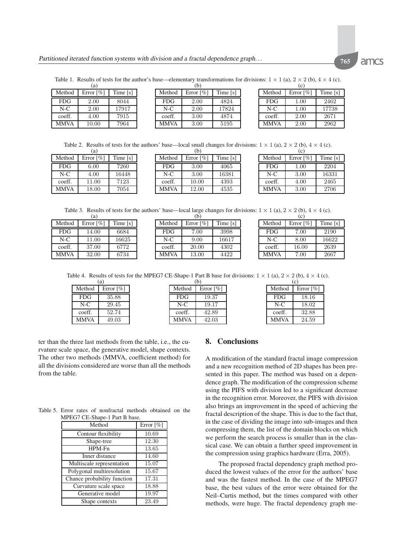<span id="page-9-1"></span>Table 1. Results of tests for the author's base—elementary transformations for divisions:  $1 \times 1$  (a),  $2 \times 2$  (b),  $4 \times 4$  (c).  $(a)$ 

| Method     | Error $\lceil \% \rceil$ | Time $[s]$ |
|------------|--------------------------|------------|
| <b>FDG</b> | 2.00                     | 8044       |
| $N-C$      | 2.00                     | 17917      |
| coeff.     | 4.00                     | 7915       |
| MMVA       | 10.00                    | 7964       |

 $(b)$ Method | Error  $\lceil \% \rceil$  | Time  $\lceil s \rceil$ FDG 2*.*00 4824 N-C 2*.*00 17824 coeff. 3*.*00 4874 MMVA 3*.*00 5195

| (c)         |                          |          |  |
|-------------|--------------------------|----------|--|
| Method      | Error $\lceil \% \rceil$ | Time [s] |  |
| <b>FDG</b>  | 1.00                     | 2462     |  |
| $N-C$       | 1.00                     | 17738    |  |
| coeff.      | 2.00                     | 2671     |  |
| <b>MMVA</b> | 2.00                     | 2962     |  |

<span id="page-9-2"></span>Table 2. Results of tests for the authors' base—local small changes for divisions:  $1 \times 1$  (a),  $2 \times 2$  (b),  $4 \times 4$  (c).  $(a)$  $(h)$ 

| Method      | Error $\lceil \% \rceil$ | Time $[s]$ |
|-------------|--------------------------|------------|
| <b>FDG</b>  | 6.00                     | 7260       |
| $N-C$       | 4.00                     | 16448      |
| coeff.      | 11.00                    | 7123       |
| <b>MMVA</b> | 18.00                    | 7054       |

| Method     | Error $\lceil\% \rceil$ | Time $[s]$ |
|------------|-------------------------|------------|
| <b>FDG</b> | 3.00                    | 4065       |
| $N-C$      | 3.00                    | 16381      |
| coeff.     | 10.00                   | 4393       |
| MMVA       | 12.00                   | 4535       |

| (c)         |                          |          |
|-------------|--------------------------|----------|
| Method      | Error $\lceil \% \rceil$ | Time [s] |
| <b>FDG</b>  | 1.00                     | 2204     |
| $N-C$       | 3.00                     | 16331    |
| coeff.      | 4.00                     | 2465     |
| <b>MMVA</b> | 3.00                     | 2706     |

<span id="page-9-3"></span>Table 3. Results of tests for the authors' base—local large changes for divisions:  $1 \times 1$  (a),  $2 \times 2$  (b),  $4 \times 4$  (c).<br>(a) (b)  $(h)$ 

|             | (a)                      |            |
|-------------|--------------------------|------------|
| Method      | Error $\lceil \% \rceil$ | Time $[s]$ |
| <b>FDG</b>  | 14.00                    | 6684       |
| $N-C$       | 11.00                    | 16625      |
| coeff.      | 37.00                    | 6772       |
| <b>MMVA</b> | 32.00                    | 6734       |

| Method     | Error $\lceil \% \rceil$ | Time $[s]$ |
|------------|--------------------------|------------|
| <b>FDG</b> | 7.00                     | 3998       |
| $N-C$      | 9.00                     | 16617      |
| coeff.     | 20.00                    | 4302       |
| MMVA       | 13.00                    | 4422       |

| $\sim$      |                          |          |  |
|-------------|--------------------------|----------|--|
| Method      | Error $\lceil \% \rceil$ | Time [s] |  |
| <b>FDG</b>  | 7.00                     | 2190     |  |
| $N-C$       | 8.00                     | 16622    |  |
| coeff.      | 16.00                    | 2639     |  |
| <b>MMVA</b> | 7.00                     | 2667     |  |

Table 4. Results of tests for the MPEG7 CE-Shape-1 Part B base for divisions:  $1 \times 1$  (a),  $2 \times 2$  (b),  $4 \times 4$  (c).

<span id="page-9-4"></span>

| (a)         |                          |  |
|-------------|--------------------------|--|
| Method      | Error $\lceil \% \rceil$ |  |
| <b>FDG</b>  | 35.88                    |  |
| $N-C$       | 29.45                    |  |
| coeff.      | 52.74                    |  |
| <b>MMVA</b> | 49.03                    |  |

| (b)         |                          |  |
|-------------|--------------------------|--|
| Method      | Error $\lceil \% \rceil$ |  |
| <b>FDG</b>  | 19.37                    |  |
| $N-C$       | 19.17                    |  |
| coeff.      | 42.89                    |  |
| <b>MMVA</b> | 42.03                    |  |

| (c)         |                          |  |
|-------------|--------------------------|--|
| Method      | Error $\lceil \% \rceil$ |  |
| <b>FDG</b>  | 18.16                    |  |
| $N-C$       | 18.02                    |  |
| coeff.      | 32.88                    |  |
| <b>MMVA</b> | 24.59                    |  |

ter than the three last methods from the table, i.e., the curvature scale space, the generative model, shape contexts. The other two methods (MMVA, coefficient method) for all the divisions considered are worse than all the methods from the table.

Table 5. Error rates of nonfractal methods obtained on the MPEG7 CE-Shape-1 Part B base.

<span id="page-9-5"></span>

| Method                      | Error $\lceil \% \rceil$ |
|-----------------------------|--------------------------|
| Contour flexibility         | 10.69                    |
| Shape-tree                  | 12.30                    |
| HPM-Fn                      | 13.65                    |
| Inner distance              | 14.60                    |
| Multiscale representation   | 15.07                    |
| Polygonal multiresolution   | 15.67                    |
| Chance probability function | 17.31                    |
| Curvature scale space       | 18.88                    |
| Generative model            | 19.97                    |
| Shape contexts              | 23.49                    |

## <span id="page-9-0"></span>**8. Conclusions**

A modification of the standard fractal image compression and a new recognition method of 2D shapes has been presented in this paper. The method was based on a dependence graph. The modification of the compression scheme using the PIFS with division led to a significant decrease in the recognition error. Moreover, the PIFS with division also brings an improvement in the speed of achieving the fractal description of the shape. This is due to the fact that, in the case of dividing the image into sub-images and then compressing them, the list of the domain blocks on which we perform the search process is smaller than in the classical case. We can obtain a further speed improvement in the compression using graphics hardware (Erra, 2005).

The proposed fractal dependency graph method produced the lowest values of the error for the authors' base and was the fastest method. In the case of the MPEG7 base, the best values of the error were obtained for the Neil–Curtis method, but the times compared with other methods, were huge. The fractal dependency graph me-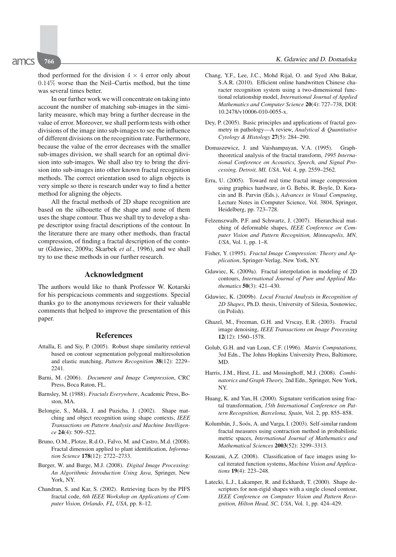thod performed for the division  $4 \times 4$  error only about 0.14% worse than the Neil–Curtis method, but the time was several times better.

In our further work we will concentrate on taking into account the number of matching sub-images in the similarity measure, which may bring a further decrease in the value of error. Moreover, we shall perform tests with other divisions of the image into sub-images to see the influence of different divisions on the recognition rate. Furthermore, because the value of the error decreases with the smaller sub-images division, we shall search for an optimal division into sub-images. We shall also try to bring the division into sub-images into other known fractal recognition methods. The correct orientation used to align objects is very simple so there is research under way to find a better method for aligning the objects.

All the fractal methods of 2D shape recognition are based on the silhouette of the shape and none of them uses the shape contour. Thus we shall try to develop a shape descriptor using fractal descriptions of the contour. In the literature there are many other methods, than fractal compression, of finding a fractal description of the contour (Gdawiec, 2009a; Skarbek *et al*., 1996), and we shall try to use these methods in our further research.

## **Acknowledgment**

The authors would like to thank Professor W. Kotarski for his perspicacious comments and suggestions. Special thanks go to the anonymous reviewers for their valuable comments that helped to improve the presentation of this paper.

#### **References**

- Attalla, E. and Siy, P. (2005). Robust shape similarity retrieval based on contour segmentation polygonal multiresolution and elastic matching, *Pattern Recognition* **38**(12): 2229– 2241.
- Barni, M. (2006). *Document and Image Compression*, CRC Press, Boca Raton, FL.
- Barnsley, M. (1988). *Fractals Everywhere*, Academic Press, Boston, MA.
- Belongie, S., Malik, J. and Puzicha, J. (2002). Shape matching and object recognition using shape contexts, *IEEE Transactions on Pattern Analysis and Machine Intelligence* **24**(4): 509–522.
- Bruno, O.M., Plotze, R.d.O., Falvo, M. and Castro, M.d. (2008). Fractal dimension applied to plant identification, *Information Science* **178**(12): 2722–2733.
- Burger, W. and Burge, M.J. (2008). *Digital Image Processing: An Algorithmic Introduction Using Java*, Springer, New York, NY.
- Chandran, S. and Kar, S. (2002). Retrieving faces by the PIFS fractal code, *6th IEEE Workshop on Applications of Computer Vision, Orlando, FL, USA*, pp. 8–12.
- Chang, Y.F., Lee, J.C., Mohd Rijal, O. and Syed Abu Bakar, S.A.R. (2010). Efficient online handwritten Chinese character recognition system using a two-dimensional functional relationship model, *International Journal of Applied Mathematics and Computer Science* **20**(4): 727–738, DOI: 10.2478/v10006-010-0055-x.
- Dey, P. (2005). Basic principles and applications of fractal geometry in pathology—A review, *Analytical & Quantitative Cytology & Histology* **27**(5): 284–290.
- Domaszewicz, J. and Vaishampayan, V.A. (1995). Graphtheoretical analysis of the fractal transform, *1995 International Conference on Acoustics, Speech, and Signal Processing, Detroit, MI, USA*, Vol. 4, pp. 2559–2562.
- Erra, U. (2005). Toward real time fractal image compression using graphics hardware, *in* G. Bebis, R. Boyle, D. Koracin and B. Parvin (Eds.), *Advances in Visual Computing*, Lecture Notes in Computer Science, Vol. 3804, Springer, Heidelberg, pp. 723–728.
- Felzenszwalb, P.F. and Schwartz, J. (2007). Hierarchical matching of deformable shapes, *IEEE Conference on Computer Vision and Pattern Recognition, Minneapolis, MN, USA*, Vol. 1, pp. 1–8.
- Fisher, Y. (1995). *Fractal Image Compression: Theory and Application*, Springer-Verlag, New York, NY.
- Gdawiec, K. (2009a). Fractal interpolation in modeling of 2D contours, *International Journal of Pure and Applied Mathematics* **50**(3): 421–430.
- Gdawiec, K. (2009b). *Local Fractal Analysis in Recognition of 2D Shapes*, Ph.D. thesis, University of Silesia, Sosnowiec, (in Polish).
- Ghazel, M., Freeman, G.H. and Vrscay, E.R. (2003). Fractal image denoising, *IEEE Transactions on Image Processing* **12**(12): 1560–1578.
- Golub, G.H. and van Loan, C.F. (1996). *Matrix Computations,* 3rd Edn., The Johns Hopkins University Press, Baltimore, MD.
- Harris, J.M., Hirst, J.L. and Mossinghoff, M.J. (2008). *Combinatorics and Graph Theory,* 2nd Edn., Springer, New York, NY.
- Huang, K. and Yan, H. (2000). Signature verification using fractal transformation, *15th International Conference on Pattern Recognition, Barcelona, Spain*, Vol. 2, pp. 855–858.
- Kolumbán, J., Soós, A. and Varga, I. (2003). Self-similar random fractal measures using contraction method in probabilistic metric spaces, *International Journal of Mathematics and Mathematical Sciences* **2003**(52): 3299–3313.
- Kouzani, A.Z. (2008). Classification of face images using local iterated function systems, *Machine Vision and Applications* **19**(4): 223–248.
- Latecki, L.J., Lakamper, R. and Eckhardt, T. (2000). Shape descriptors for non-rigid shapes with a single closed contour, *IEEE Conference on Computer Vision and Pattern Recognition, Hilton Head, SC, USA*, Vol. 1, pp. 424–429.